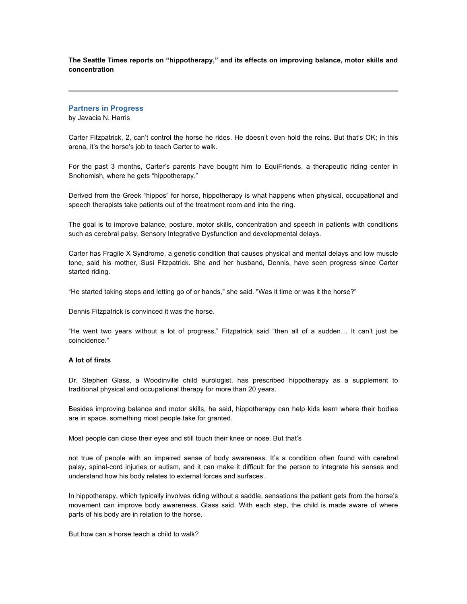**The Seattle Times reports on "hippotherapy," and its effects on improving balance, motor skills and concentration**

## **Partners in Progress**

by Javacia N. Harris

Carter Fitzpatrick, 2, can't control the horse he rides. He doesn't even hold the reins. But that's OK; in this arena, it's the horse's job to teach Carter to walk.

For the past 3 months, Carter's parents have bought him to EquiFriends, a therapeutic riding center in Snohomish, where he gets "hippotherapy."

Derived from the Greek "hippos" for horse, hippotherapy is what happens when physical, occupational and speech therapists take patients out of the treatment room and into the ring.

The goal is to improve balance, posture, motor skills, concentration and speech in patients with conditions such as cerebral palsy. Sensory Integrative Dysfunction and developmental delays.

Carter has Fragile X Syndrome, a genetic condition that causes physical and mental delays and low muscle tone, said his mother, Susi Fitzpatrick. She and her husband, Dennis, have seen progress since Carter started riding.

"He started taking steps and letting go of or hands," she said. "Was it time or was it the horse?"

Dennis Fitzpatrick is convinced it was the horse.

"He went two years without a lot of progress," Fitzpatrick said "then all of a sudden… It can't just be coincidence."

## **A lot of firsts**

Dr. Stephen Glass, a Woodinville child eurologist, has prescribed hippotherapy as a supplement to traditional physical and occupational therapy for more than 20 years.

Besides improving balance and motor skills, he said, hippotherapy can help kids learn where their bodies are in space, something most people take for granted.

Most people can close their eyes and still touch their knee or nose. But that's

not true of people with an impaired sense of body awareness. It's a condition often found with cerebral palsy, spinal-cord injuries or autism, and it can make it difficult for the person to integrate his senses and understand how his body relates to external forces and surfaces.

In hippotherapy, which typically involves riding without a saddle, sensations the patient gets from the horse's movement can improve body awareness, Glass said. With each step, the child is made aware of where parts of his body are in relation to the horse.

But how can a horse teach a child to walk?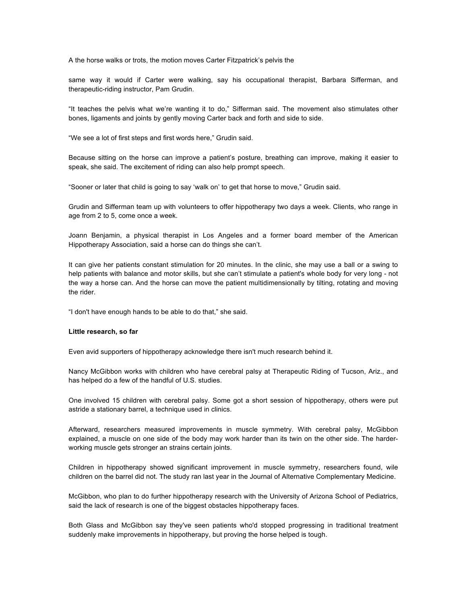A the horse walks or trots, the motion moves Carter Fitzpatrick's pelvis the

same way it would if Carter were walking, say his occupational therapist, Barbara Sifferman, and therapeutic-riding instructor, Pam Grudin.

"It teaches the pelvis what we're wanting it to do," Sifferman said. The movement also stimulates other bones, ligaments and joints by gently moving Carter back and forth and side to side.

"We see a lot of first steps and first words here," Grudin said.

Because sitting on the horse can improve a patient's posture, breathing can improve, making it easier to speak, she said. The excitement of riding can also help prompt speech.

"Sooner or later that child is going to say 'walk on' to get that horse to move," Grudin said.

Grudin and Sifferman team up with volunteers to offer hippotherapy two days a week. Clients, who range in age from 2 to 5, come once a week.

Joann Benjamin, a physical therapist in Los Angeles and a former board member of the American Hippotherapy Association, said a horse can do things she can't.

It can give her patients constant stimulation for 20 minutes. In the clinic, she may use a ball or a swing to help patients with balance and motor skills, but she can't stimulate a patient's whole body for very long - not the way a horse can. And the horse can move the patient multidimensionally by tilting, rotating and moving the rider.

"I don't have enough hands to be able to do that," she said.

## **Little research, so far**

Even avid supporters of hippotherapy acknowledge there isn't much research behind it.

Nancy McGibbon works with children who have cerebral palsy at Therapeutic Riding of Tucson, Ariz., and has helped do a few of the handful of U.S. studies.

One involved 15 children with cerebral palsy. Some got a short session of hippotherapy, others were put astride a stationary barrel, a technique used in clinics.

Afterward, researchers measured improvements in muscle symmetry. With cerebral palsy, McGibbon explained, a muscle on one side of the body may work harder than its twin on the other side. The harderworking muscle gets stronger an strains certain joints.

Children in hippotherapy showed significant improvement in muscle symmetry, researchers found, wile children on the barrel did not. The study ran last year in the Journal of Alternative Complementary Medicine.

McGibbon, who plan to do further hippotherapy research with the University of Arizona School of Pediatrics, said the lack of research is one of the biggest obstacles hippotherapy faces.

Both Glass and McGibbon say they've seen patients who'd stopped progressing in traditional treatment suddenly make improvements in hippotherapy, but proving the horse helped is tough.